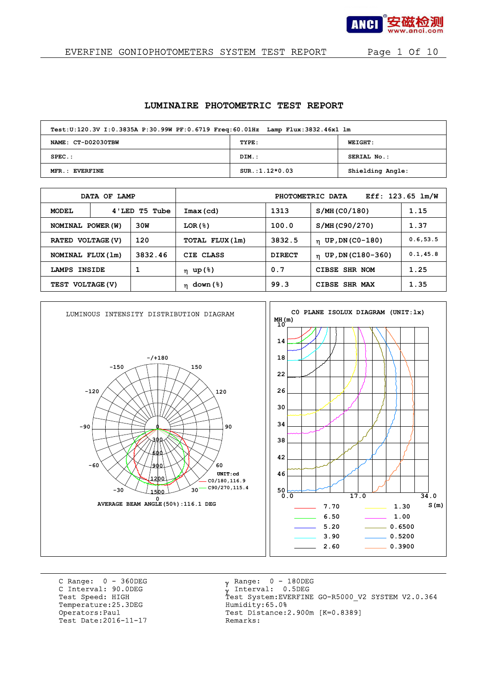

### EVERFINE GONIOPHOTOMETERS SYSTEM TEST REPORT Page 1 Of 10

#### **LUMINAIRE PHOTOMETRIC TEST REPORT**

| Test:U:120.3V I:0.3835A P:30.99W PF:0.6719 Freq:60.01Hz Lamp Flux:3832.46x1 lm |                  |                  |
|--------------------------------------------------------------------------------|------------------|------------------|
| NAME: CT-D02030TBW                                                             | TYPE:            | <b>WEIGHT:</b>   |
| $SPEC.$ :                                                                      | DIM.:            | SERIAL No.:      |
| MFR.: EVERFINE                                                                 | $SUR.:1.12*0.03$ | Shielding Angle: |

|                          | DATA OF LAMP  |                 |                |                                | PHOTOMETRIC DATA                 | Eff: $123.65$ $lm/W$ |
|--------------------------|---------------|-----------------|----------------|--------------------------------|----------------------------------|----------------------|
| <b>MODEL</b>             | 4'LED T5 Tube |                 | $Imax$ (cd)    | 1313                           | S/MH (CO/180)                    | 1.15                 |
| 30W<br>NOMINAL POWER (W) |               | LOR(8)          | 100.0          | S/MH (C90/270)                 | 1.37                             |                      |
| 120<br>RATED VOLTAGE (V) |               |                 | TOTAL FLUX(1m) | 3832.5                         | $n$ UP, DN (CO-180)              | 0.6, 53.5            |
| NOMINAL FLUX (1m)        |               | 3832.46         | CIE CLASS      | <b>DIRECT</b>                  | $_{\text{II}}$ UP, DN (C180-360) | 0.1, 45.8            |
| LAMPS INSIDE             |               | 1               | $η$ up (%)     | 0.7                            | CIBSE SHR NOM                    | 1.25                 |
| TEST VOLTAGE (V)         |               | $\eta$ down (%) | 99.3           | <b>CIBSE</b><br><b>SHR MAX</b> | 1.35                             |                      |



C Range: 0 - 360DEG C Interval: 90.0DEG<br>Test Speed: HIGH Temperature:25.3DEG Humidity:65.0%<br>Operators:Paul Test Distance:2 Test Date: 2016-11-17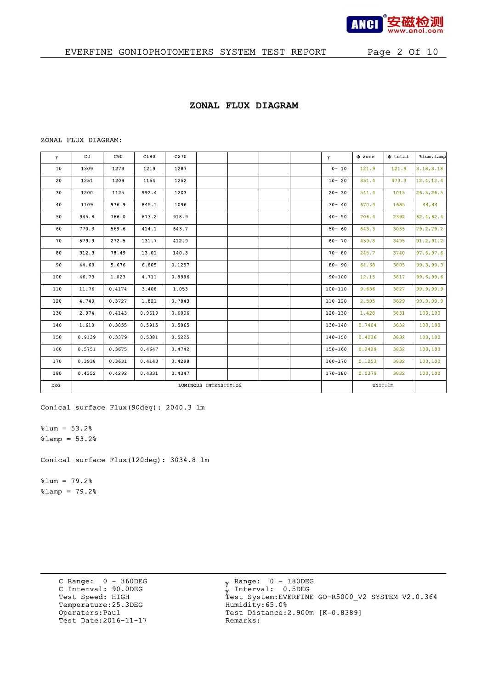

### **ZONAL FLUX DIAGRAM**

#### ZONAL FLUX DIAGRAM:

| γ.  | C <sub>0</sub> | C90    | C180   | C <sub>270</sub> |                       |  | $\mathbf{Y}$ | $\Phi$ zone | $\Phi$ total | %lum, lamp |
|-----|----------------|--------|--------|------------------|-----------------------|--|--------------|-------------|--------------|------------|
| 10  | 1309           | 1273   | 1219   | 1287             |                       |  | $0 - 10$     | 121.9       | 121.9        | 3.18, 3.18 |
| 20  | 1251           | 1209   | 1154   | 1252             |                       |  | $10 - 20$    | 351.4       | 473.3        | 12.4, 12.4 |
| 30  | 1200           | 1125   | 992.4  | 1203             |                       |  | $20 - 30$    | 541.4       | 1015         | 26.5, 26.5 |
| 40  | 1109           | 976.9  | 845.1  | 1096             |                       |  | $30 - 40$    | 670.4       | 1685         | 44,44      |
| 50  | 945.8          | 766.0  | 673.2  | 918.9            |                       |  | $40 - 50$    | 706.4       | 2392         | 62.4, 62.4 |
| 60  | 770.3          | 569.6  | 414.1  | 643.7            |                       |  | $50 - 60$    | 643.3       | 3035         | 79.2,79.2  |
| 70  | 579.9          | 272.5  | 131.7  | 412.9            |                       |  | $60 - 70$    | 459.8       | 3495         | 91.2, 91.2 |
| 80  | 312.3          | 78.49  | 13.01  | 140.3            |                       |  | $70 - 80$    | 245.7       | 3740         | 97.6,97.6  |
| 90  | 44.69          | 5.676  | 6.805  | 0.1257           |                       |  | $80 - 90$    | 64.68       | 3805         | 99.3,99.3  |
| 100 | 46.73          | 1.023  | 4.711  | 0.8996           |                       |  | $90 - 100$   | 12.15       | 3817         | 99.6,99.6  |
| 110 | 11.76          | 0.4174 | 3.408  | 1.053            |                       |  | $100 - 110$  | 9.636       | 3827         | 99.9,99.9  |
| 120 | 4.740          | 0.3727 | 1.821  | 0.7843           |                       |  | $110 - 120$  | 2.595       | 3829         | 99.9,99.9  |
| 130 | 2.974          | 0.4143 | 0.9619 | 0.6006           |                       |  | 120-130      | 1.428       | 3831         | 100,100    |
| 140 | 1.610          | 0.3855 | 0.5915 | 0.5065           |                       |  | 130-140      | 0.7404      | 3832         | 100,100    |
| 150 | 0.9139         | 0.3379 | 0.5381 | 0.5225           |                       |  | 140-150      | 0.4236      | 3832         | 100,100    |
| 160 | 0.5751         | 0.3675 | 0.4647 | 0.4742           |                       |  | 150-160      | 0.2429      | 3832         | 100,100    |
| 170 | 0.3938         | 0.3631 | 0.4143 | 0.4298           |                       |  | 160-170      | 0.1253      | 3832         | 100,100    |
| 180 | 0.4352         | 0.4292 | 0.4331 | 0.4347           |                       |  | 170-180      | 0.0379      | 3832         | 100,100    |
| DEG |                |        |        |                  | LUMINOUS INTENSITY:cd |  |              | UNIT:1m     |              |            |

Conical surface Flux(90deg): 2040.3 lm

 $\text{Sum} = 53.2\text{*}$  $\text{Ramp} = 53.2\$ 

Conical surface Flux(120deg): 3034.8 lm

 $$1um = 79.2%$  $\text{\$lamp = 79.2\%}$ 

> C Range: 0 - 360DEG C Interval: 90.0DEG<br>Test Speed: HIGH Temperature:25.3DEG Humidity:65.0%<br>Operators:Paul Test Distance:2 Test Date: 2016-11-17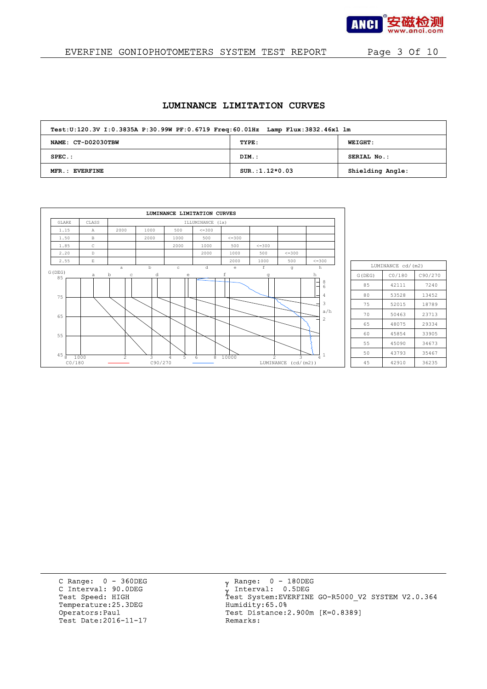

## EVERFINE GONIOPHOTOMETERS SYSTEM TEST REPORT Page 3 Of 10

### **LUMINANCE LIMITATION CURVES**

| Test:U:120.3V I:0.3835A P:30.99W PF:0.6719 Freq:60.01Hz Lamp Flux:3832.46x1 lm |                  |                  |
|--------------------------------------------------------------------------------|------------------|------------------|
| NAME: CT-D02030TBW                                                             | TYPE:            | <b>WEIGHT:</b>   |
| $SPEC.$ :                                                                      | DIM.:            | SERIAL No.:      |
| MFR.: EVERFINE                                                                 | $SUR.:1.12*0.03$ | Shielding Angle: |

|                           |              |                  |              | LUMINANCE LIMITATION CURVES |                  |             |                |                                      |                              |
|---------------------------|--------------|------------------|--------------|-----------------------------|------------------|-------------|----------------|--------------------------------------|------------------------------|
| GLARE                     | CLASS        |                  |              |                             | ILLUMINANCE (1x) |             |                |                                      |                              |
| 1.15                      | $\mathbb{A}$ | 2000             | 1000         | 500                         | $\leq$ = 300     |             |                |                                      |                              |
| 1.50                      | B            |                  | 2000         | 1000                        | 500              | $\leq 300$  |                |                                      |                              |
| 1.85                      | $\mathbb{C}$ |                  |              | 2000                        | 1000             | 500         | $\leq 300$     |                                      |                              |
| 2.20                      | D            |                  |              |                             | 2000             | 1000        | 500            | $\leq$ = 300                         |                              |
| 2.55                      | $\mathbf E$  |                  |              |                             |                  | 2000        | 1000           | 500                                  | $\leq$ = 300                 |
| G(DEG)                    |              | a                | $\mathbf b$  | $\circ$                     | d                | e           | f              | g                                    | h                            |
| 85                        | a            | b<br>$\mathbb C$ | d            | $\epsilon$                  |                  | $\mathbf f$ | g              |                                      | h                            |
| 75                        |              |                  |              |                             |                  |             |                |                                      | $\frac{8}{6}$<br>-<br>۰<br>4 |
| 65                        |              |                  |              |                             |                  |             |                |                                      | 3<br>a/h<br>$\overline{c}$   |
| 55                        |              |                  |              |                             |                  |             |                |                                      |                              |
| $45\frac{1}{8}$<br>CO/180 | 1000         | 2                | 3<br>C90/270 | 5<br>4                      | 8<br>6           | 10000       | $\overline{2}$ | $\mathcal{L}$<br>LUMINANCE (cd/(m2)) | 4                            |

|        | LUMINANCE cd/(m2) |         |
|--------|-------------------|---------|
| G(DEG) | CO/180            | C90/270 |
| 85     | 42111             | 7240    |
| 80     | 53528             | 13452   |
| 75     | 52015             | 18789   |
| 70     | 50463             | 23713   |
| 65     | 48075             | 29334   |
| 60     | 45854             | 33905   |
| 55     | 45090             | 34673   |
| 50     | 43793             | 35467   |
| 45     | 42910             | 36235   |

C Range: 0 - 360DEG C Interval: 90.0DEG<br>Test Speed: HIGH Temperature:25.3DEG Humidity:65.0%<br>Operators:Paul Test Distance:2 Test Date: 2016-11-17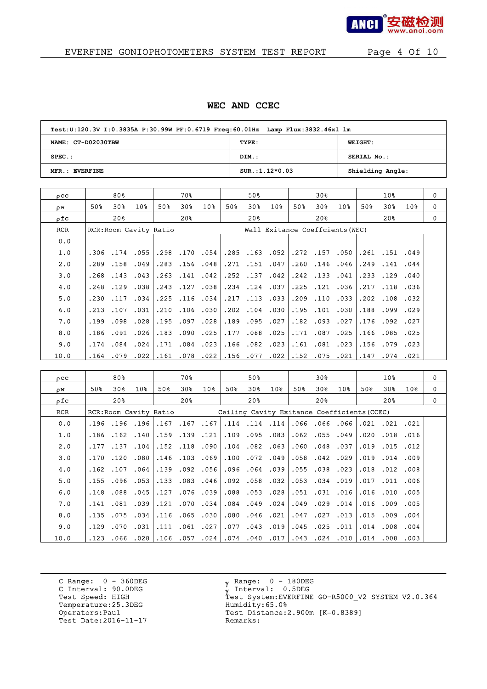

# EVERFINE GONIOPHOTOMETERS SYSTEM TEST REPORT Page 4 Of 10

#### **WEC AND CCEC**

| Test:U:120.3V I:0.3835A P:30.99W PF:0.6719 Freq:60.01Hz Lamp Flux:3832.46x1 lm |                  |                  |
|--------------------------------------------------------------------------------|------------------|------------------|
| NAME: CT-D02030TBW                                                             | TYPE:            | <b>WEIGHT:</b>   |
| $SPEC.$ :                                                                      | DIM.:            | SERIAL No.:      |
| MFR.: EVERFINE                                                                 | $SUR.:1.12*0.03$ | Shielding Angle: |

| $_{\text{o}cc}$ |      | 80%         |                        |      | 70%                  |                 |      | 50%                  |                      |     | 30%                  |                                 |      | 10 <sub>8</sub>      |                 | $\Omega$ |
|-----------------|------|-------------|------------------------|------|----------------------|-----------------|------|----------------------|----------------------|-----|----------------------|---------------------------------|------|----------------------|-----------------|----------|
| οW              | 50%  | 30%         | 10%                    | 50%  | 30%                  | 10 <sub>8</sub> | 50%  | 30 <sub>8</sub>      | 10 <sub>8</sub>      | 50% | 30%                  | 10 <sub>8</sub>                 | 50%  | 30%                  | 10 <sub>8</sub> | 0        |
| ρfc             |      | 20%         |                        |      | 20 <sub>8</sub>      |                 |      | 20 <sub>8</sub>      |                      |     | 20%                  |                                 |      | 20%                  |                 | 0        |
| <b>RCR</b>      |      |             | RCR: Room Cavity Ratio |      |                      |                 |      |                      |                      |     |                      | Wall Exitance Coeffcients (WEC) |      |                      |                 |          |
| 0.0             |      |             |                        |      |                      |                 |      |                      |                      |     |                      |                                 |      |                      |                 |          |
| 1.0             | .306 |             | .174.055               |      |                      | .298.170.054    |      |                      | $.285$ $.163$ $.052$ |     | .272.157.050         |                                 |      | .261.151.049         |                 |          |
| 2.0             | .289 | .158        | .049                   |      | .283.156.048         |                 | .271 | .151.047             |                      |     | $.260$ $.146$ $.046$ |                                 | .249 | .141                 | .044            |          |
| 3.0             | .268 | $.143$ .043 |                        |      | $.263$ $.141$ $.042$ |                 |      | $.252$ $.137$ $.042$ |                      |     | $.242$ $.133$ $.041$ |                                 |      | $.233$ $.129$ $.040$ |                 |          |
| 4.0             | .248 | .129        | .038                   |      | .243.127             | .038            |      | .234.124.037         |                      |     | $.225$ $.121$ $.036$ |                                 | .217 | .118                 | .036            |          |
| 5.0             | .230 |             | .117.034               | .225 |                      | $.116$ $.034$   |      | $.217$ $.113$ $.033$ |                      |     | $.209$ $.110$ $.033$ |                                 |      | .202.108.032         |                 |          |
| 6.0             | .213 | .107        | .031                   | .210 |                      | .106.030        | .202 | $.104$ $.030$        |                      |     | .195.101.030         |                                 | .188 | .099                 | .029            |          |
| 7.0             | .199 | .098        | .028                   | .195 | .097                 | .028            | .189 | .095.027             |                      |     | .182.093.027         |                                 | .176 | .092                 | .027            |          |
| 8.0             | .186 | .091        | .026                   | .183 | .090                 | .025            | .177 | $.088$ .025          |                      |     | $.171$ $.087$ $.025$ |                                 | .166 | .085.025             |                 |          |
| 9.0             | .174 | .084        | .024                   | .171 |                      | .084.023        |      | $.166$ $.082$ $.023$ |                      |     | .161.081.023         |                                 |      | .156.079.023         |                 |          |
| 10.0            | .164 | .079        | .022                   |      | .161 .078            | .022            |      | .156.077             | .022                 |     |                      | .152 .075 .021                  | .147 | .074                 | .021            |          |

| 0CC  |      | 80%                   |                 |      | 70%                  |          |      | 50%                                         |     |      | 30%                  |                 |      | 10 <sub>8</sub>      |                 | 0        |
|------|------|-----------------------|-----------------|------|----------------------|----------|------|---------------------------------------------|-----|------|----------------------|-----------------|------|----------------------|-----------------|----------|
| oΨ   | 50%  | 30%                   | 10 <sub>8</sub> | 50%  | 30%                  | 10%      | 50%  | 30 <sub>8</sub>                             | 10% | 50%  | 30%                  | 10 <sub>3</sub> | 50%  | 30%                  | 10 <sub>8</sub> | 0        |
| οfc  |      | 20%                   |                 |      | 20 <sub>8</sub>      |          |      | 20 <sup>8</sup>                             |     |      | 20%                  |                 |      | 20 <sub>8</sub>      |                 | $\Omega$ |
| RCR  |      | RCR:Room Cavity Ratio |                 |      |                      |          |      | Ceiling Cavity Exitance Coefficients (CCEC) |     |      |                      |                 |      |                      |                 |          |
| 0.0  |      | .196.196.196          |                 |      | .167.167.167         |          |      | .114.114.114                                |     |      | .066.066.066         |                 |      | .021 .021 .021       |                 |          |
| 1.0  | .186 |                       | $.162$ $.140$   |      | .159.139.121         |          |      | $.109$ .095 .083                            |     |      | $.062$ $.055$ $.049$ |                 | .020 | .018 .016            |                 |          |
| 2.0  | .177 | .137                  | .104            |      | .152.118.090         |          | .104 | .082.063                                    |     | .060 | .048                 | .037            | .019 | .015                 | .012            |          |
| 3.0  | .170 |                       | .120.080        |      | .146.103.069         |          | .100 | .072.049                                    |     |      | .058.042.029         |                 |      | .019.014.009         |                 |          |
| 4.0  | .162 | .107                  | .064            | .139 |                      | .092.056 |      | 039. 064. 096.                              |     | .055 | .038.023             |                 | .018 | .012 .008            |                 |          |
| 5.0  | .155 |                       | .096.053        |      | .133.083.046         |          |      | $.092$ $.058$ $.032$                        |     |      | .053.034.019         |                 |      | .017 .011 .006       |                 |          |
| 6.0  | .148 | .088                  | .045            | .127 |                      | .076.039 | .088 | .053.028                                    |     |      | .051 .031 .016       |                 | .016 | .010                 | .005            |          |
| 7.0  | .141 |                       | .081 .039 .     |      | .121 .070 .034       |          |      | $.084$ $.049$ $.024$                        |     |      | $.049$ $.029$ $.014$ |                 |      | .016 .009 .005       |                 |          |
| 8.0  | .135 | .075                  | .034            |      | .116.065.030         |          | .080 | .046 .021                                   |     | .047 | .027                 | .013            |      | $.015$ .009 .004     |                 |          |
| 9.0  | .129 |                       | .070 .031       |      | $.111$ $.061$ $.027$ |          |      | .077.043.019                                |     |      | $.045$ $.025$ $.011$ |                 |      | $.014$ $.008$ $.004$ |                 |          |
| 10.0 | .123 | .066                  | .028            |      | .106 .057            | .024     |      | .074 .040 .017                              |     | .043 |                      | .024 .010       |      | 003. 008. 014.       |                 |          |

C Range: 0 - 360DEG C Interval: 90.0DEG<br>Test Speed: HIGH Temperature:25.3DEG Humidity:65.0%<br>Operators:Paul Test Distance:2 Test Date: 2016-11-17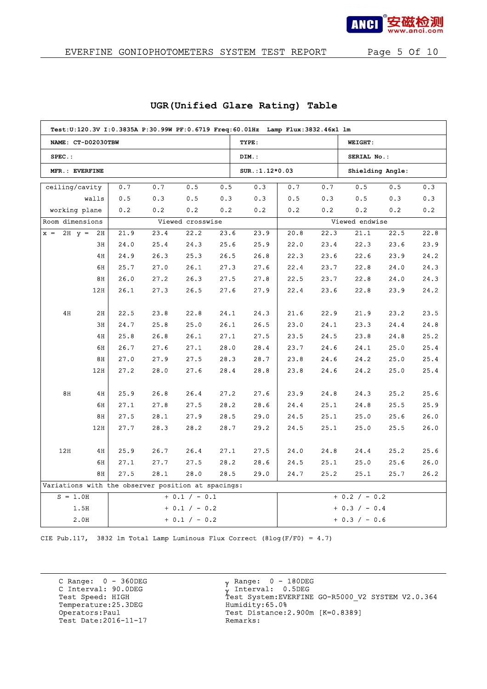

|                                                    |       |      |      |                  |      | Test:U:120.3V I:0.3835A P:30.99W PF:0.6719 Freq:60.01Hz Lamp Flux:3832.46x1 lm |      |      |                                                                         |      |      |  |
|----------------------------------------------------|-------|------|------|------------------|------|--------------------------------------------------------------------------------|------|------|-------------------------------------------------------------------------|------|------|--|
| NAME: CT-D02030TBW                                 |       |      |      |                  |      | TYPE:                                                                          |      |      | WEIGHT:                                                                 |      |      |  |
| $SPEC.$ :                                          |       |      |      |                  |      | DIM.:                                                                          |      |      | SERIAL No.:                                                             |      |      |  |
| MFR.: EVERFINE                                     |       |      |      |                  |      | SUR.: 1.12*0.03                                                                |      |      | Shielding Angle:                                                        |      |      |  |
| ceiling/cavity                                     |       | 0.7  | 0.7  | 0.5              | 0.5  | 0.3                                                                            | 0.7  | 0.7  | 0.5                                                                     | 0.5  | 0.3  |  |
|                                                    | walls | 0.5  | 0.3  | 0.5              | 0.3  | 0.3                                                                            | 0.5  | 0.3  | 0.5                                                                     | 0.3  | 0.3  |  |
| working plane                                      |       | 0.2  | 0.2  | 0.2              | 0.2  | 0.2                                                                            | 0.2  | 0.2  | 0.2                                                                     | 0.2  | 0.2  |  |
| Room dimensions                                    |       |      |      | Viewed crosswise |      |                                                                                |      |      |                                                                         |      |      |  |
| $x = 2H$ $y = 2H$                                  |       | 21.9 | 23.4 | 22.2             | 23.6 | 23.9                                                                           | 20.8 | 22.3 | 21.1                                                                    | 22.5 | 22.8 |  |
|                                                    | 3H    | 24.0 | 25.4 | 24.3             | 25.6 | 25.9                                                                           | 22.0 | 23.4 | 22.3                                                                    | 23.6 | 23.9 |  |
|                                                    | 4H    | 24.9 | 26.3 | 25.3             | 26.5 | 26.8                                                                           | 22.3 | 23.6 | 22.6                                                                    | 23.9 | 24.2 |  |
|                                                    | 6H    | 25.7 | 27.0 | 26.1             | 27.3 | 27.6                                                                           | 22.4 | 23.7 | 22.8                                                                    | 24.0 | 24.3 |  |
|                                                    | 8H    | 26.0 | 27.2 | 26.3             | 27.5 | 27.8                                                                           | 22.5 | 23.7 | 22.8                                                                    | 24.0 | 24.3 |  |
|                                                    | 12H   | 26.1 | 27.3 | 26.5             | 27.6 | 27.9                                                                           | 22.4 | 23.6 | 22.8                                                                    | 23.9 | 24.2 |  |
|                                                    |       |      |      |                  |      |                                                                                |      |      |                                                                         |      |      |  |
| 4H                                                 | 2H    | 22.5 | 23.8 | 22.8             | 24.1 | 24.3                                                                           | 21.6 | 22.9 | 21.9                                                                    | 23.2 | 23.5 |  |
|                                                    | 3H    | 24.7 | 25.8 | 25.0             | 26.1 | 26.5                                                                           | 23.0 | 24.1 | 23.3                                                                    | 24.4 | 24.8 |  |
|                                                    | 4H    | 25.8 | 26.8 | 26.1             | 27.1 | 27.5                                                                           | 23.5 | 24.5 | 23.8                                                                    | 24.8 | 25.2 |  |
|                                                    | 6H    | 26.7 | 27.6 | 27.1             | 28.0 | 28.4                                                                           | 23.7 | 24.6 | 24.1                                                                    | 25.0 | 25.4 |  |
|                                                    | 8H    | 27.0 | 27.9 | 27.5             | 28.3 | 28.7                                                                           | 23.8 | 24.6 | 24.2                                                                    | 25.0 | 25.4 |  |
|                                                    | 12H   | 27.2 | 28.0 | 27.6             | 28.4 | 28.8                                                                           | 23.8 | 24.6 | 24.2                                                                    | 25.0 | 25.4 |  |
|                                                    |       |      |      |                  |      |                                                                                |      |      |                                                                         |      |      |  |
| 8H                                                 | 4H    | 25.9 | 26.8 | 26.4             | 27.2 | 27.6                                                                           | 23.9 | 24.8 | 24.3                                                                    | 25.2 | 25.6 |  |
|                                                    | 6H    | 27.1 | 27.8 | 27.5             | 28.2 | 28.6                                                                           | 24.4 | 25.1 | 24.8                                                                    | 25.5 | 25.9 |  |
|                                                    | 8H    | 27.5 | 28.1 | 27.9             | 28.5 | 29.0                                                                           | 24.5 | 25.1 | 25.0                                                                    | 25.6 | 26.0 |  |
|                                                    | 12H   | 27.7 | 28.3 | 28.2             | 28.7 | 29.2                                                                           | 24.5 | 25.1 | 25.0                                                                    | 25.5 | 26.0 |  |
|                                                    |       |      |      |                  |      |                                                                                |      |      |                                                                         |      |      |  |
| 12H                                                | 4H    | 25.9 | 26.7 | 26.4             | 27.1 | 27.5                                                                           | 24.0 | 24.8 | 24.4                                                                    | 25.2 | 25.6 |  |
|                                                    | 6H    | 27.1 | 27.7 | 27.5             | 28.2 | 28.6                                                                           | 24.5 | 25.1 | 25.0                                                                    | 25.6 | 26.0 |  |
|                                                    | 8H    | 27.5 | 28.1 | 28.0             | 28.5 | 29.0                                                                           | 24.7 | 25.2 | 25.1                                                                    | 25.7 | 26.2 |  |
| Variations with the observer position at spacings: |       |      |      |                  |      |                                                                                |      |      |                                                                         |      |      |  |
| $S = 1.0H$                                         |       |      |      | $+ 0.1 / - 0.1$  |      |                                                                                |      |      | Viewed endwise<br>$+ 0.2 / - 0.2$<br>$+ 0.3 / - 0.4$<br>$+ 0.3 / - 0.6$ |      |      |  |
|                                                    | 1.5H  |      |      | $+ 0.1 / - 0.2$  |      |                                                                                |      |      |                                                                         |      |      |  |
|                                                    | 2.0H  |      |      | $+ 0.1 / - 0.2$  |      |                                                                                |      |      |                                                                         |      |      |  |

### **UGR(Unified Glare Rating) Table**

CIE Pub.117, 3832 lm Total Lamp Luminous Flux Correct (8log(F/F0) = 4.7)

C Range: 0 - 360DEG C Interval: 90.0DEG<br>Test Speed: HIGH Temperature:25.3DEG Humidity:65.0%<br>Operators:Paul Test Distance:2 Test Date: 2016-11-17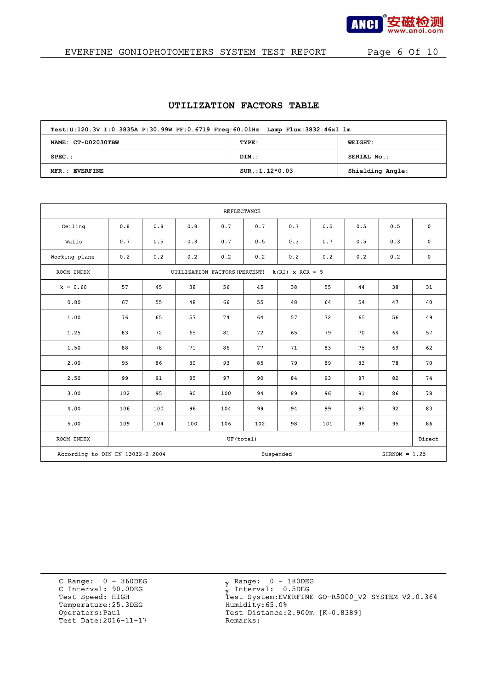

## EVERFINE GONIOPHOTOMETERS SYSTEM TEST REPORT Page 6 Of 10

#### **UTILIZATION FACTORS TABLE**

| Test:U:120.3V I:0.3835A P:30.99W PF:0.6719 Freq:60.01Hz Lamp Flux:3832.46x1 lm |                  |                  |
|--------------------------------------------------------------------------------|------------------|------------------|
| NAME: CT-D02030TBW                                                             | TYPE:            | <b>WEIGHT:</b>   |
| $SPEC.$ :                                                                      | DIM.:            | SERIAL No.:      |
| MFR.: EVERFINE                                                                 | $SUR.:1.12*0.03$ | Shielding Angle: |

|               | <b>REFLECTANCE</b>                                               |     |                                                 |           |     |     |     |     |     |             |  |
|---------------|------------------------------------------------------------------|-----|-------------------------------------------------|-----------|-----|-----|-----|-----|-----|-------------|--|
| Ceiling       | 0.8                                                              | 0.8 | 0.8                                             | 0.7       | 0.7 | 0.7 | 0.5 | 0.5 | 0.5 | $\mathbf 0$ |  |
| Walls         | 0.7                                                              | 0.5 | 0.3                                             | 0.7       | 0.5 | 0.3 | 0.7 | 0.5 | 0.3 | $\mathbf 0$ |  |
| Working plane | 0.2                                                              | 0.2 | 0.2                                             | 0.2       | 0.2 | 0.2 | 0.2 | 0.2 | 0.2 | 0           |  |
| ROOM INDEX    |                                                                  |     | UTILIZATION FACTORS (PERCENT) $k(RI)$ x RCR = 5 |           |     |     |     |     |     |             |  |
| $k = 0.60$    | 57                                                               | 45  | 38                                              | 56        | 45  | 38  | 55  | 44  | 38  | 31          |  |
| 0.80          | 67                                                               | 55  | 48                                              | 66        | 55  | 48  | 64  | 54  | 47  | 40          |  |
| 1.00          | 76                                                               | 65  | 57                                              | 74        | 64  | 57  | 72  | 65  | 56  | 49          |  |
| 1.25          | 83                                                               | 72  | 65                                              | 81        | 72  | 65  | 79  | 70  | 64  | 57          |  |
| 1.50          | 88                                                               | 78  | 71                                              | 86        | 77  | 71  | 83  | 75  | 69  | 62          |  |
| 2.00          | 95                                                               | 86  | 80                                              | 93        | 85  | 79  | 89  | 83  | 78  | 70          |  |
| 2.50          | 99                                                               | 91  | 85                                              | 97        | 90  | 84  | 93  | 87  | 82  | 74          |  |
| 3.00          | 102                                                              | 95  | 90                                              | 100       | 94  | 89  | 96  | 91  | 86  | 78          |  |
| 4.00          | 106                                                              | 100 | 96                                              | 104       | 99  | 94  | 99  | 95  | 92  | 83          |  |
| 5.00          | 109                                                              | 104 | 100                                             | 106       | 102 | 98  | 101 | 98  | 95  | 86          |  |
| ROOM INDEX    |                                                                  |     |                                                 | UF(total) |     |     |     |     |     | Direct      |  |
|               | According to DIN EN 13032-2 2004<br>Suspended<br>SHRNOM = $1.25$ |     |                                                 |           |     |     |     |     |     |             |  |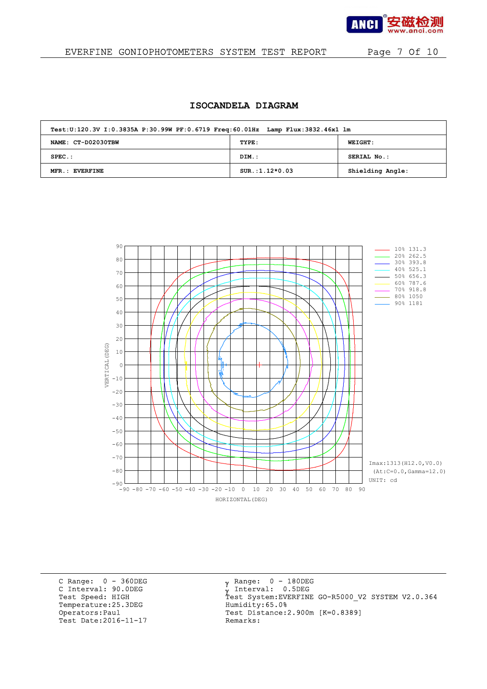

#### EVERFINE GONIOPHOTOMETERS SYSTEM TEST REPORT Page 7 Of 10

### **ISOCANDELA DIAGRAM**

| Test:U:120.3V I:0.3835A P:30.99W PF:0.6719 Freq:60.01Hz Lamp Flux:3832.46x1 lm |                  |                  |  |  |  |  |  |  |  |  |
|--------------------------------------------------------------------------------|------------------|------------------|--|--|--|--|--|--|--|--|
| NAME: CT-D02030TBW                                                             | TYPE:            | <b>WEIGHT:</b>   |  |  |  |  |  |  |  |  |
| $SPEC.$ :                                                                      | DIM.:            | SERIAL No.:      |  |  |  |  |  |  |  |  |
| MFR.: EVERFINE                                                                 | $SUR.:1.12*0.03$ | Shielding Angle: |  |  |  |  |  |  |  |  |



C Range: 0 - 360DEG C Interval: 90.0DEG<br>Test Speed: HIGH Temperature:25.3DEG Humidity:65.0%<br>Operators:Paul Test Distance:2 Test Date: 2016-11-17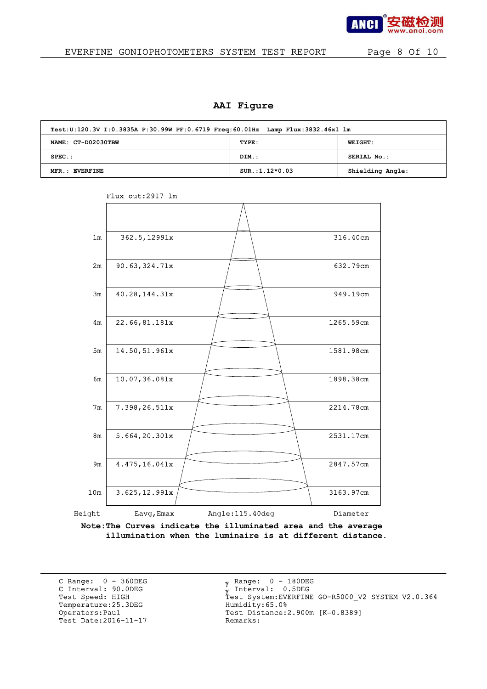

#### EVERFINE GONIOPHOTOMETERS SYSTEM TEST REPORT Page 8 Of 10

#### **AAI Figure**

| Test:U:120.3V I:0.3835A P:30.99W PF:0.6719 Freq:60.01Hz Lamp Flux:3832.46x1 lm |                  |                  |  |  |  |  |  |  |  |
|--------------------------------------------------------------------------------|------------------|------------------|--|--|--|--|--|--|--|
| NAME: CT-D02030TBW                                                             | TYPE:            | <b>WEIGHT:</b>   |  |  |  |  |  |  |  |
| $SPEC.$ :                                                                      | DIM.:            | SERIAL No.:      |  |  |  |  |  |  |  |
| MFR.: EVERFINE                                                                 | $SUR.:1.12*0.03$ | Shielding Angle: |  |  |  |  |  |  |  |



Flux out:2917 lm

**Note:The Curves indicate the illuminated area and the average illumination when the luminaire is at different distance.**

C Range: 0 - 360DEG C Interval: 90.0DEG<br>Test Speed: HIGH Temperature: 25.3DEG<br>Operators: Paul Test Date: 2016-11-17

 $_{\rm V}$  Range: 0 - 180DEG γ Range: 0 - 180DE<br>γ Interval: 0.5DEG γ y Interval: 0.0086<br>Test System:EVERFINE GO-R5000\_V2 SYSTEM V2.0.364<br>Humidity:65.0% Test Distance:2.900m [K=0.8389]<br>Remarks: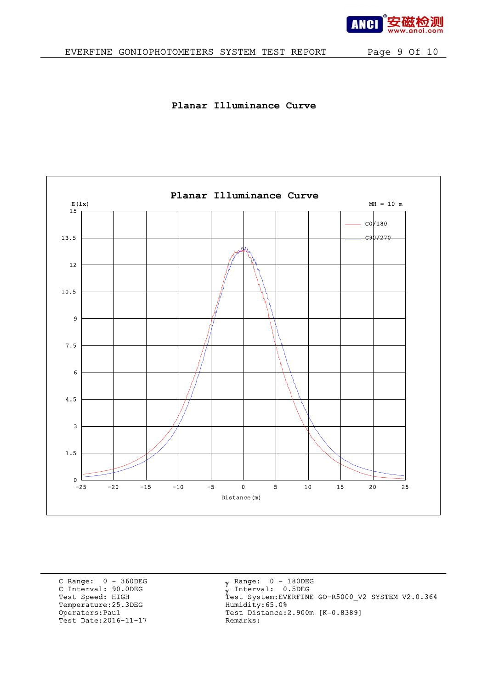

## EVERFINE GONIOPHOTOMETERS SYSTEM TEST REPORT Page 9 Of 10

### **Planar Illuminance Curve**



C Range: 0 - 360DEG C Interval: 90.0DEG<br>Test Speed: HIGH Temperature:25.3DEG Humidity:65.0%<br>Operators:Paul Test Distance:2 Test Date: 2016-11-17